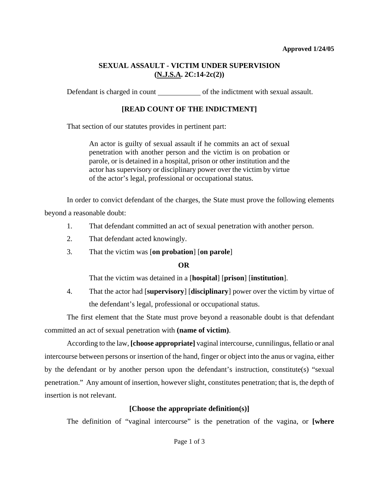#### **Approved 1/24/05**

### **SEXUAL ASSAULT - VICTIM UNDER SUPERVISION (N.J.S.A. 2C:14-2c(2))**

Defendant is charged in count of the indictment with sexual assault.

# **[READ COUNT OF THE INDICTMENT]**

That section of our statutes provides in pertinent part:

An actor is guilty of sexual assault if he commits an act of sexual penetration with another person and the victim is on probation or parole, or is detained in a hospital, prison or other institution and the actor has supervisory or disciplinary power over the victim by virtue of the actor's legal, professional or occupational status.

In order to convict defendant of the charges, the State must prove the following elements beyond a reasonable doubt:

- 1. That defendant committed an act of sexual penetration with another person.
- 2. That defendant acted knowingly.
- 3. That the victim was [**on probation**] [**on parole**]

## **OR**

That the victim was detained in a [**hospital**] [**prison**] [**institution**].

4. That the actor had [**supervisory**] [**disciplinary**] power over the victim by virtue of the defendant's legal, professional or occupational status.

The first element that the State must prove beyond a reasonable doubt is that defendant committed an act of sexual penetration with **(name of victim)**.

<span id="page-0-0"></span>According to the law, **[choose appropriate]** vaginal intercourse, cunnilingus, fellatio or anal intercourse between persons or insertion of the hand, finger or object into the anus or vagina, either by the defendant or by another person upon the defendant's instruction, constitute(s) "sexual penetration." Any amount of insertion, however slight, constitutes penetration; that is, the depth of insertion is not relevant.

## **[Choose the appropriate definition(s)]**

The definition of "vaginal intercourse" is the penetration of the vagina, or **[where**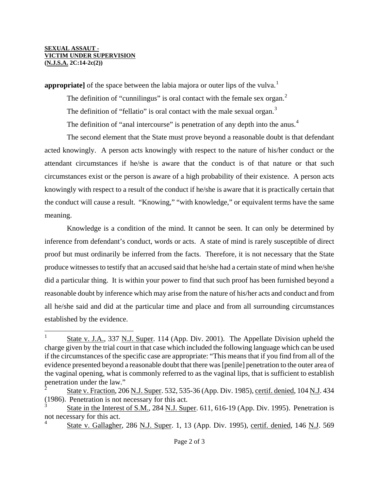#### **SEXUAL ASSAUT - VICTIM UNDER SUPERVISION (N.J.S.A. 2C:14-2c(2))**

i

**appropriate** of the space between the labia majora or outer lips of the vulva.<sup>[1](#page-0-0)</sup>

The definition of "cunnilingus" is oral contact with the female sex organ. $<sup>2</sup>$  $<sup>2</sup>$  $<sup>2</sup>$ </sup>

The definition of "fellatio" is oral contact with the male sexual organ. $3$ 

The definition of "anal intercourse" is penetration of any depth into the anus.<sup>[4](#page-1-2)</sup>

The second element that the State must prove beyond a reasonable doubt is that defendant acted knowingly. A person acts knowingly with respect to the nature of his/her conduct or the attendant circumstances if he/she is aware that the conduct is of that nature or that such circumstances exist or the person is aware of a high probability of their existence. A person acts knowingly with respect to a result of the conduct if he/she is aware that it is practically certain that the conduct will cause a result. "Knowing," "with knowledge," or equivalent terms have the same meaning.

Knowledge is a condition of the mind. It cannot be seen. It can only be determined by inference from defendant's conduct, words or acts. A state of mind is rarely susceptible of direct proof but must ordinarily be inferred from the facts. Therefore, it is not necessary that the State produce witnesses to testify that an accused said that he/she had a certain state of mind when he/she did a particular thing. It is within your power to find that such proof has been furnished beyond a reasonable doubt by inference which may arise from the nature of his/her acts and conduct and from all he/she said and did at the particular time and place and from all surrounding circumstances established by the evidence.

<sup>1</sup> State v. J.A., 337 N.J. Super. 114 (App. Div. 2001). The Appellate Division upheld the charge given by the trial court in that case which included the following language which can be used if the circumstances of the specific case are appropriate: "This means that if you find from all of the evidence presented beyond a reasonable doubt that there was [penile] penetration to the outer area of the vaginal opening, what is commonly referred to as the vaginal lips, that is sufficient to establish penetration under the law."

<span id="page-1-3"></span><span id="page-1-0"></span>State v. Fraction, 206 N.J. Super. 532, 535-36 (App. Div. 1985), certif. denied, 104 N.J. 434 (1986). Penetration is not necessary for this act.

<span id="page-1-2"></span><span id="page-1-1"></span><sup>3</sup> State in the Interest of S.M., 284 N.J. Super. 611, 616-19 (App. Div. 1995). Penetration is not necessary for this act. 4

State v. Gallagher, 286 N.J. Super. 1, 13 (App. Div. 1995), certif. denied, 146 N.J. 569